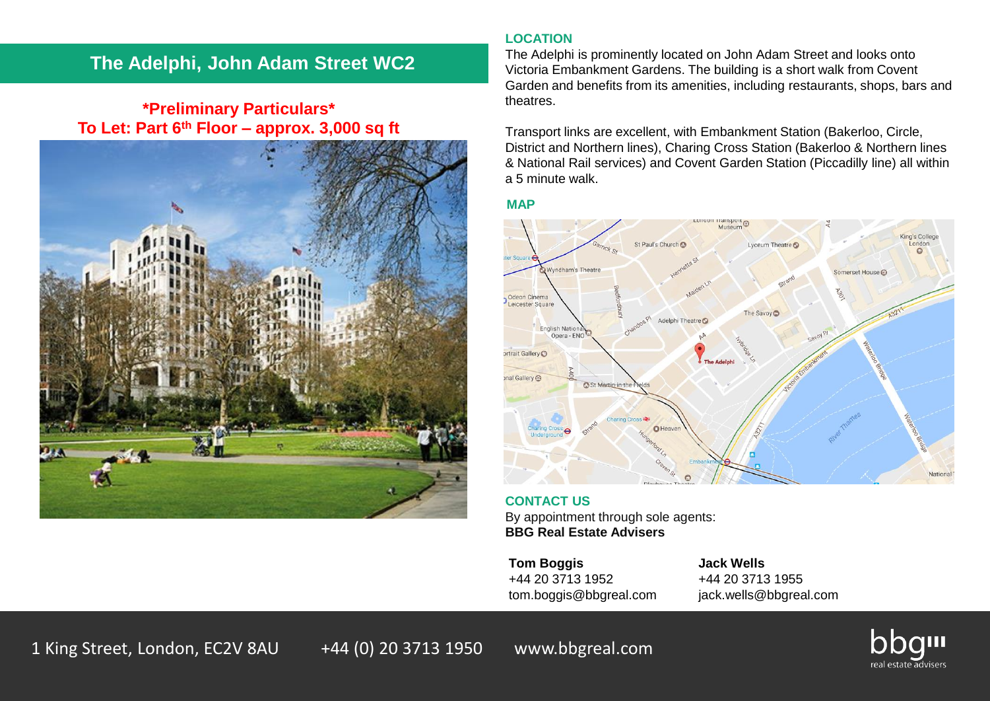# **The Adelphi, John Adam Street WC2**

# **\*Preliminary Particulars\* To Let: Part 6th Floor – approx. 3,000 sq ft**



# **LOCATION**

The Adelphi is prominently located on John Adam Street and looks onto Victoria Embankment Gardens. The building is a short walk from Covent Garden and benefits from its amenities, including restaurants, shops, bars and theatres.

Transport links are excellent, with Embankment Station (Bakerloo, Circle, District and Northern lines), Charing Cross Station (Bakerloo & Northern lines & National Rail services) and Covent Garden Station (Piccadilly line) all within a 5 minute walk.

#### **MAP**



# **CONTACT US** By appointment through sole agents:

**BBG Real Estate Advisers**

**Tom Boggis Jack Wells** +44 20 3713 1952 +44 20 3713 1955 tom.boggis@bbgreal.com jack.wells@bbgreal.com

1 King Street, London, EC2V 8AU +44 (0) 20 3713 1950 www.bbgreal.com